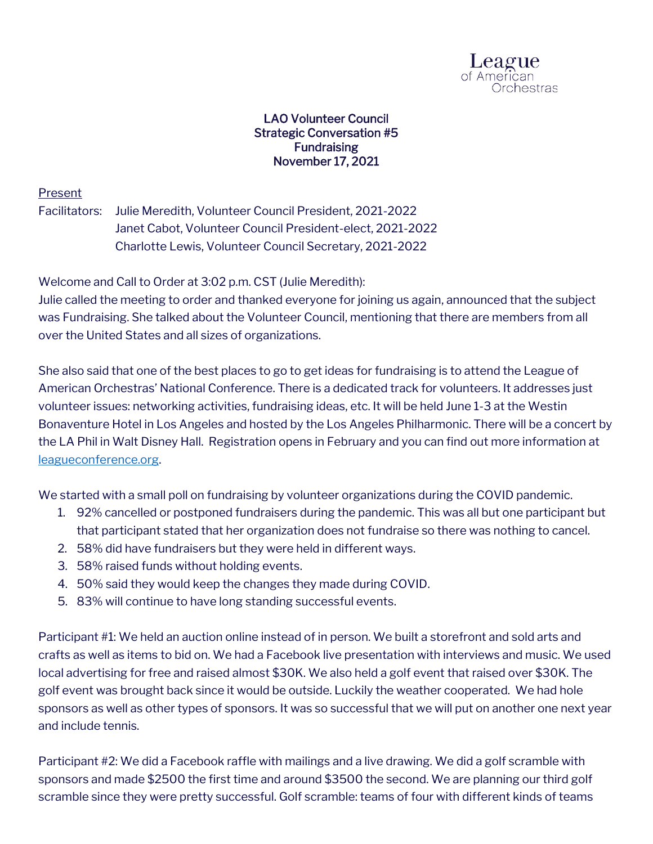

## LAO Volunteer Council Strategic Conversation #5 Fundraising November 17, 2021

## Present

Facilitators: Julie Meredith, Volunteer Council President, 2021-2022 Janet Cabot, Volunteer Council President-elect, 2021-2022 Charlotte Lewis, Volunteer Council Secretary, 2021-2022

Welcome and Call to Order at 3:02 p.m. CST (Julie Meredith):

Julie called the meeting to order and thanked everyone for joining us again, announced that the subject was Fundraising. She talked about the Volunteer Council, mentioning that there are members from all over the United States and all sizes of organizations.

She also said that one of the best places to go to get ideas for fundraising is to attend the League of American Orchestras' National Conference. There is a dedicated track for volunteers. It addresses just volunteer issues: networking activities, fundraising ideas, etc. It will be held June 1-3 at the Westin Bonaventure Hotel in Los Angeles and hosted by the Los Angeles Philharmonic. There will be a concert by the LA Phil in Walt Disney Hall. Registration opens in February and you can find out more information at [leagueconference.org.](https://leagueconference.org/)

We started with a small poll on fundraising by volunteer organizations during the COVID pandemic.

- 1. 92% cancelled or postponed fundraisers during the pandemic. This was all but one participant but that participant stated that her organization does not fundraise so there was nothing to cancel.
- 2. 58% did have fundraisers but they were held in different ways.
- 3. 58% raised funds without holding events.
- 4. 50% said they would keep the changes they made during COVID.
- 5. 83% will continue to have long standing successful events.

Participant #1: We held an auction online instead of in person. We built a storefront and sold arts and crafts as well as items to bid on. We had a Facebook live presentation with interviews and music. We used local advertising for free and raised almost \$30K. We also held a golf event that raised over \$30K. The golf event was brought back since it would be outside. Luckily the weather cooperated. We had hole sponsors as well as other types of sponsors. It was so successful that we will put on another one next year and include tennis.

Participant #2: We did a Facebook raffle with mailings and a live drawing. We did a golf scramble with sponsors and made \$2500 the first time and around \$3500 the second. We are planning our third golf scramble since they were pretty successful. Golf scramble: teams of four with different kinds of teams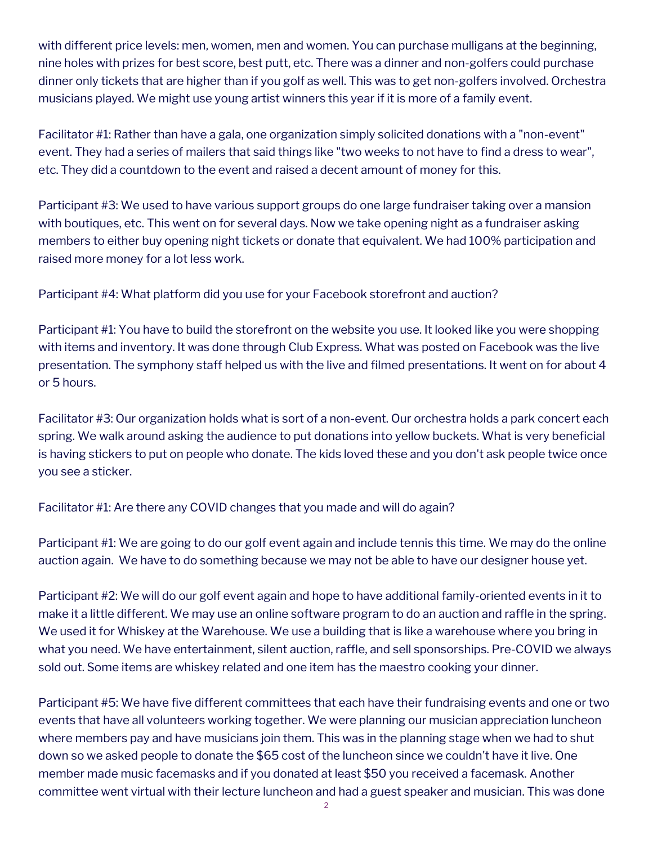with different price levels: men, women, men and women. You can purchase mulligans at the beginning, nine holes with prizes for best score, best putt, etc. There was a dinner and non-golfers could purchase dinner only tickets that are higher than if you golf as well. This was to get non-golfers involved. Orchestra musicians played. We might use young artist winners this year if it is more of a family event.

Facilitator #1: Rather than have a gala, one organization simply solicited donations with a "non-event" event. They had a series of mailers that said things like "two weeks to not have to find a dress to wear", etc. They did a countdown to the event and raised a decent amount of money for this.

Participant #3: We used to have various support groups do one large fundraiser taking over a mansion with boutiques, etc. This went on for several days. Now we take opening night as a fundraiser asking members to either buy opening night tickets or donate that equivalent. We had 100% participation and raised more money for a lot less work.

Participant #4: What platform did you use for your Facebook storefront and auction?

Participant #1: You have to build the storefront on the website you use. It looked like you were shopping with items and inventory. It was done through Club Express. What was posted on Facebook was the live presentation. The symphony staff helped us with the live and filmed presentations. It went on for about 4 or 5 hours.

Facilitator #3: Our organization holds what is sort of a non-event. Our orchestra holds a park concert each spring. We walk around asking the audience to put donations into yellow buckets. What is very beneficial is having stickers to put on people who donate. The kids loved these and you don't ask people twice once you see a sticker.

Facilitator #1: Are there any COVID changes that you made and will do again?

Participant #1: We are going to do our golf event again and include tennis this time. We may do the online auction again. We have to do something because we may not be able to have our designer house yet.

Participant #2: We will do our golf event again and hope to have additional family-oriented events in it to make it a little different. We may use an online software program to do an auction and raffle in the spring. We used it for Whiskey at the Warehouse. We use a building that is like a warehouse where you bring in what you need. We have entertainment, silent auction, raffle, and sell sponsorships. Pre-COVID we always sold out. Some items are whiskey related and one item has the maestro cooking your dinner.

Participant #5: We have five different committees that each have their fundraising events and one or two events that have all volunteers working together. We were planning our musician appreciation luncheon where members pay and have musicians join them. This was in the planning stage when we had to shut down so we asked people to donate the \$65 cost of the luncheon since we couldn't have it live. One member made music facemasks and if you donated at least \$50 you received a facemask. Another committee went virtual with their lecture luncheon and had a guest speaker and musician. This was done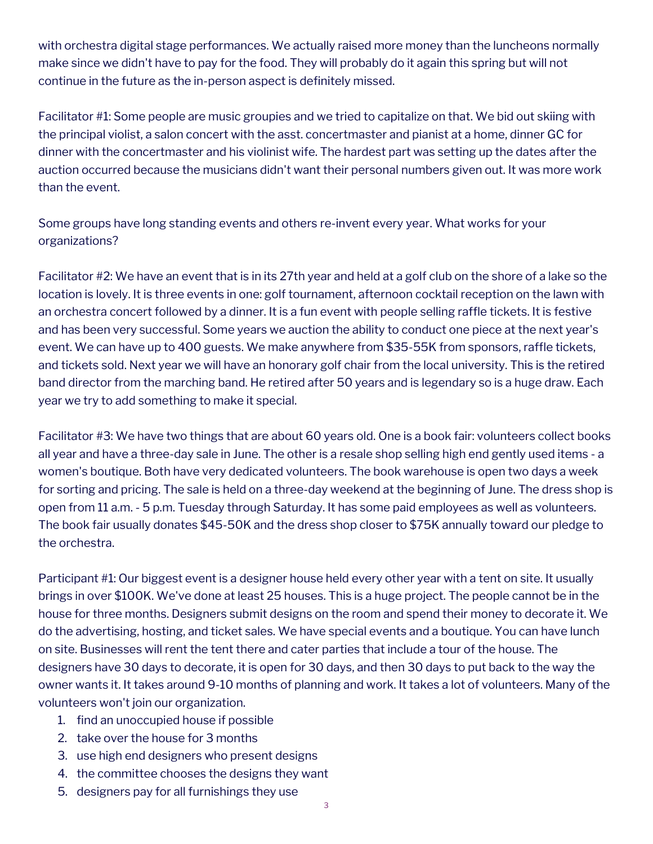with orchestra digital stage performances. We actually raised more money than the luncheons normally make since we didn't have to pay for the food. They will probably do it again this spring but will not continue in the future as the in-person aspect is definitely missed.

Facilitator #1: Some people are music groupies and we tried to capitalize on that. We bid out skiing with the principal violist, a salon concert with the asst. concertmaster and pianist at a home, dinner GC for dinner with the concertmaster and his violinist wife. The hardest part was setting up the dates after the auction occurred because the musicians didn't want their personal numbers given out. It was more work than the event.

Some groups have long standing events and others re-invent every year. What works for your organizations?

Facilitator #2: We have an event that is in its 27th year and held at a golf club on the shore of a lake so the location is lovely. It is three events in one: golf tournament, afternoon cocktail reception on the lawn with an orchestra concert followed by a dinner. It is a fun event with people selling raffle tickets. It is festive and has been very successful. Some years we auction the ability to conduct one piece at the next year's event. We can have up to 400 guests. We make anywhere from \$35-55K from sponsors, raffle tickets, and tickets sold. Next year we will have an honorary golf chair from the local university. This is the retired band director from the marching band. He retired after 50 years and is legendary so is a huge draw. Each year we try to add something to make it special.

Facilitator #3: We have two things that are about 60 years old. One is a book fair: volunteers collect books all year and have a three-day sale in June. The other is a resale shop selling high end gently used items - a women's boutique. Both have very dedicated volunteers. The book warehouse is open two days a week for sorting and pricing. The sale is held on a three-day weekend at the beginning of June. The dress shop is open from 11 a.m. - 5 p.m. Tuesday through Saturday. It has some paid employees as well as volunteers. The book fair usually donates \$45-50K and the dress shop closer to \$75K annually toward our pledge to the orchestra.

Participant #1: Our biggest event is a designer house held every other year with a tent on site. It usually brings in over \$100K. We've done at least 25 houses. This is a huge project. The people cannot be in the house for three months. Designers submit designs on the room and spend their money to decorate it. We do the advertising, hosting, and ticket sales. We have special events and a boutique. You can have lunch on site. Businesses will rent the tent there and cater parties that include a tour of the house. The designers have 30 days to decorate, it is open for 30 days, and then 30 days to put back to the way the owner wants it. It takes around 9-10 months of planning and work. It takes a lot of volunteers. Many of the volunteers won't join our organization.

- 1. find an unoccupied house if possible
- 2. take over the house for 3 months
- 3. use high end designers who present designs
- 4. the committee chooses the designs they want
- 5. designers pay for all furnishings they use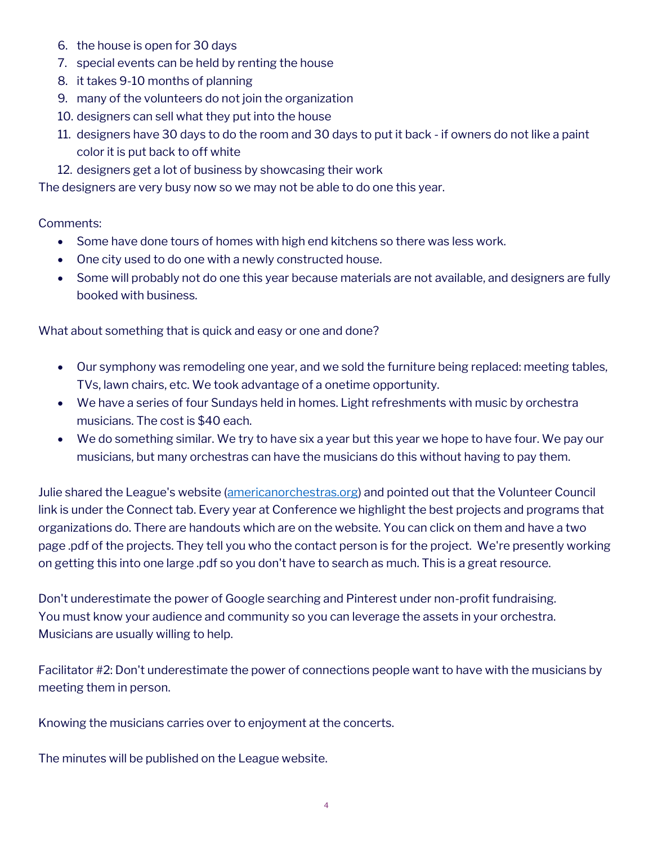- 6. the house is open for 30 days
- 7. special events can be held by renting the house
- 8. it takes 9-10 months of planning
- 9. many of the volunteers do not join the organization
- 10. designers can sell what they put into the house
- 11. designers have 30 days to do the room and 30 days to put it back if owners do not like a paint color it is put back to off white
- 12. designers get a lot of business by showcasing their work

The designers are very busy now so we may not be able to do one this year.

## Comments:

- Some have done tours of homes with high end kitchens so there was less work.
- One city used to do one with a newly constructed house.
- Some will probably not do one this year because materials are not available, and designers are fully booked with business.

What about something that is quick and easy or one and done?

- Our symphony was remodeling one year, and we sold the furniture being replaced: meeting tables, TVs, lawn chairs, etc. We took advantage of a onetime opportunity.
- We have a series of four Sundays held in homes. Light refreshments with music by orchestra musicians. The cost is \$40 each.
- We do something similar. We try to have six a year but this year we hope to have four. We pay our musicians, but many orchestras can have the musicians do this without having to pay them.

Julie shared the League's website [\(americanorchestras.org\)](https://americanorchestras.org/) and pointed out that the Volunteer Council link is under the Connect tab. Every year at Conference we highlight the best projects and programs that organizations do. There are handouts which are on the website. You can click on them and have a two page .pdf of the projects. They tell you who the contact person is for the project. We're presently working on getting this into one large .pdf so you don't have to search as much. This is a great resource.

Don't underestimate the power of Google searching and Pinterest under non-profit fundraising. You must know your audience and community so you can leverage the assets in your orchestra. Musicians are usually willing to help.

Facilitator #2: Don't underestimate the power of connections people want to have with the musicians by meeting them in person.

Knowing the musicians carries over to enjoyment at the concerts.

The minutes will be published on the League website.